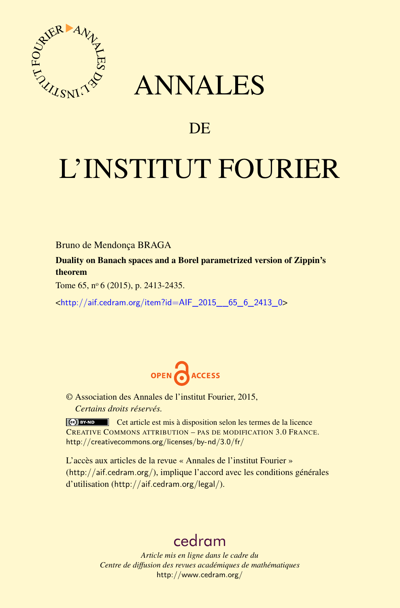

## ANNALES

### **DE**

# L'INSTITUT FOURIER

Bruno de Mendonça BRAGA

Duality on Banach spaces and a Borel parametrized version of Zippin's theorem

Tome 65, nº 6 (2015), p. 2413-2435.

<[http://aif.cedram.org/item?id=AIF\\_2015\\_\\_65\\_6\\_2413\\_0](http://aif.cedram.org/item?id=AIF_2015__65_6_2413_0)>



© Association des Annales de l'institut Fourier, 2015, *Certains droits réservés.*

Cet article est mis à disposition selon les termes de la licence CREATIVE COMMONS ATTRIBUTION – PAS DE MODIFICATION 3.0 FRANCE. <http://creativecommons.org/licenses/by-nd/3.0/fr/>

L'accès aux articles de la revue « Annales de l'institut Fourier » (<http://aif.cedram.org/>), implique l'accord avec les conditions générales d'utilisation (<http://aif.cedram.org/legal/>).

## [cedram](http://www.cedram.org/)

*Article mis en ligne dans le cadre du Centre de diffusion des revues académiques de mathématiques* <http://www.cedram.org/>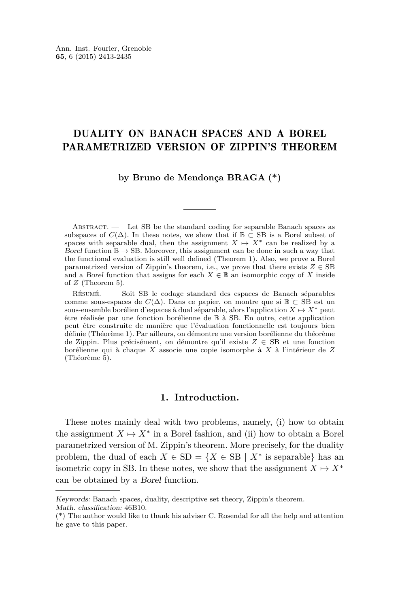#### DUALITY ON BANACH SPACES AND A BOREL PARAMETRIZED VERSION OF ZIPPIN'S THEOREM

#### **by Bruno de Mendonça BRAGA (\*)**

Abstract. — Let SB be the standard coding for separable Banach spaces as subspaces of  $C(\Delta)$ . In these notes, we show that if  $\mathbb{B} \subset \text{SB}$  is a Borel subset of spaces with separable dual, then the assignment  $X \mapsto X^*$  can be realized by a Borel function  $\mathbb{B} \to \text{SB}$ . Moreover, this assignment can be done in such a way that the functional evaluation is still well defined (Theorem 1). Also, we prove a Borel parametrized version of Zippin's theorem, i.e., we prove that there exists  $Z \in SB$ and a Borel function that assigns for each  $X \in \mathbb{B}$  an isomorphic copy of X inside of *Z* (Theorem 5).

Résumé. — Soit SB le codage standard des espaces de Banach séparables comme sous-espaces de  $C(\Delta)$ . Dans ce papier, on montre que si  $\mathbb{B} \subset \text{SB}$  est un sous-ensemble borélien d'espaces à dual séparable, alors l'application  $X \mapsto X^*$  peut être réalisée par une fonction borélienne de B à SB. En outre, cette application peut être construite de manière que l'évaluation fonctionnelle est toujours bien définie (Théorème 1). Par ailleurs, on démontre une version borélienne du théorème de Zippin. Plus précisément, on démontre qu'il existe *Z* ∈ SB et une fonction borélienne qui à chaque *X* associe une copie isomorphe à *X* à l'intérieur de *Z* (Théorème 5).

#### **1. Introduction.**

These notes mainly deal with two problems, namely, (i) how to obtain the assignment  $X \mapsto X^*$  in a Borel fashion, and (ii) how to obtain a Borel parametrized version of M. Zippin's theorem. More precisely, for the duality problem, the dual of each  $X \in SD = \{X \in SB \mid X^*$  is separable} has an isometric copy in SB. In these notes, we show that the assignment  $X \mapsto X^*$ can be obtained by a Borel function.

Keywords: Banach spaces, duality, descriptive set theory, Zippin's theorem.

Math. classification: 46B10.

<sup>(\*)</sup> The author would like to thank his adviser C. Rosendal for all the help and attention he gave to this paper.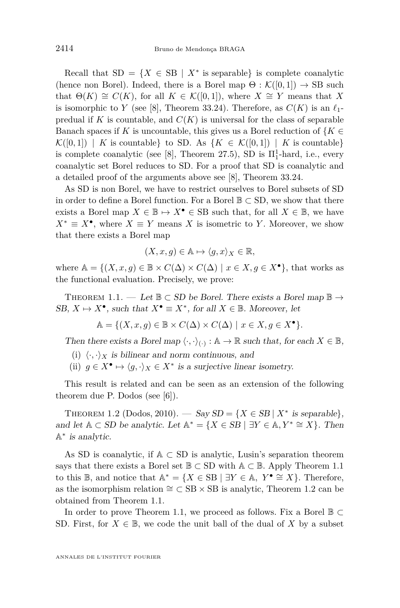<span id="page-2-0"></span>Recall that  $SD = \{X \in SB \mid X^* \text{ is separable}\}\$ is complete coanalytic (hence non Borel). Indeed, there is a Borel map  $\Theta : \mathcal{K}([0,1]) \to \text{SB}$  such that  $\Theta(K) \cong C(K)$ , for all  $K \in \mathcal{K}([0,1])$ , where  $X \cong Y$  means that X is isomorphic to *Y* (see [\[8\]](#page-23-0), Theorem 33.24). Therefore, as  $C(K)$  is an  $\ell_1$ predual if  $K$  is countable, and  $C(K)$  is universal for the class of separable Banach spaces if *K* is uncountable, this gives us a Borel reduction of  ${K \in \mathbb{R}^N}$  $\mathcal{K}([0,1]) \mid K$  is countable to SD. As  $\{K \in \mathcal{K}([0,1]) \mid K \text{ is countable}\}\$ is complete coanalytic (see [\[8\]](#page-23-0), Theorem 27.5), SD is  $\Pi_1^1$ -hard, i.e., every coanalytic set Borel reduces to SD. For a proof that SD is coanalytic and a detailed proof of the arguments above see [\[8\]](#page-23-0), Theorem 33*.*24.

As SD is non Borel, we have to restrict ourselves to Borel subsets of SD in order to define a Borel function. For a Borel  $\mathbb{B} \subset \text{SD}$ , we show that there exists a Borel map  $X \in \mathbb{B} \mapsto X^{\bullet} \in \text{SB}$  such that, for all  $X \in \mathbb{B}$ , we have  $X^* \equiv X^{\bullet}$ , where  $X \equiv Y$  means *X* is isometric to *Y*. Moreover, we show that there exists a Borel map

$$
(X, x, g) \in \mathbb{A} \mapsto \langle g, x \rangle_X \in \mathbb{R},
$$

where  $A = \{(X, x, g) \in \mathbb{B} \times C(\Delta) \times C(\Delta) \mid x \in X, g \in X^{\bullet}\}\)$ , that works as the functional evaluation. Precisely, we prove:

THEOREM 1.1. — Let  $\mathbb{B} \subset SD$  be Borel. There exists a Borel map  $\mathbb{B} \to$ SB,  $X \mapsto X^{\bullet}$ , such that  $X^{\bullet} \equiv X^*$ , for all  $X \in \mathbb{B}$ . Moreover, let

$$
\mathbb{A} = \{ (X, x, g) \in \mathbb{B} \times C(\Delta) \times C(\Delta) \mid x \in X, g \in X^{\bullet} \}.
$$

Then there exists a Borel map  $\langle \cdot, \cdot \rangle_{(\cdot)} : \mathbb{A} \to \mathbb{R}$  such that, for each  $X \in \mathbb{B}$ ,

- (i)  $\langle \cdot, \cdot \rangle_X$  is bilinear and norm continuous, and
- (ii)  $g \in X^{\bullet} \mapsto \langle g, \cdot \rangle_X \in X^*$  is a surjective linear isometry.

This result is related and can be seen as an extension of the following theorem due P. Dodos (see [\[6\]](#page-23-0)).

THEOREM 1.2 (Dodos, 2010). — Say  $SD = \{X \in SB \mid X^* \text{ is separable}\},\$ and let  $A \subset SD$  be analytic. Let  $A^* = \{X \in SB \mid \exists Y \in A, Y^* \cong X\}$ . Then  $\mathbb{A}^*$  is analytic.

As SD is coanalytic, if  $A \subseteq SD$  is analytic, Lusin's separation theorem says that there exists a Borel set  $\mathbb{B} \subset SD$  with  $\mathbb{A} \subset \mathbb{B}$ . Apply Theorem 1.1 to this  $\mathbb{B}$ , and notice that  $\mathbb{A}^* = \{ X \in \text{SB} \mid \exists Y \in \mathbb{A}, Y^{\bullet} \cong X \}.$  Therefore, as the isomorphism relation  $\cong \subset$  SB × SB is analytic, Theorem 1.2 can be obtained from Theorem 1.1.

In order to prove Theorem 1.1, we proceed as follows. Fix a Borel  $\mathbb{B} \subset$ SD. First, for  $X \in \mathbb{B}$ , we code the unit ball of the dual of X by a subset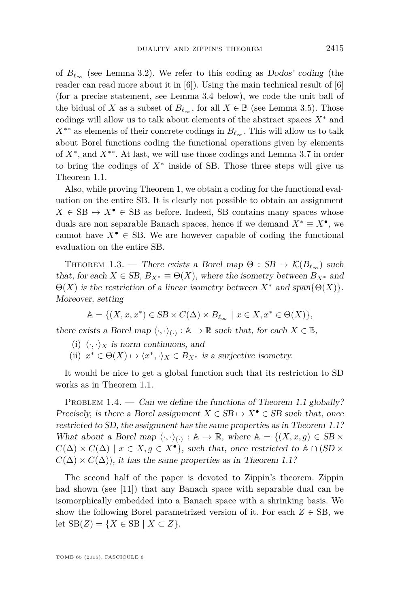<span id="page-3-0"></span>of  $B_{\ell_{\infty}}$  (see Lemma [3.2\)](#page-8-0). We refer to this coding as Dodos' coding (the reader can read more about it in  $[6]$ . Using the main technical result of  $[6]$ (for a precise statement, see Lemma [3.4](#page-9-0) below), we code the unit ball of the bidual of *X* as a subset of  $B_{\ell_{\infty}}$ , for all  $X \in \mathbb{B}$  (see Lemma [3.5\)](#page-10-0). Those codings will allow us to talk about elements of the abstract spaces *X*<sup>∗</sup> and  $X^{**}$  as elements of their concrete codings in  $B_{\ell_{\infty}}$ . This will allow us to talk about Borel functions coding the functional operations given by elements of *X*<sup>∗</sup> , and *X*∗∗. At last, we will use those codings and Lemma [3.7](#page-11-0) in order to bring the codings of *X*<sup>∗</sup> inside of SB. Those three steps will give us Theorem [1.1.](#page-2-0)

Also, while proving Theorem 1, we obtain a coding for the functional evaluation on the entire SB. It is clearly not possible to obtain an assignment  $X \in SB \mapsto X^{\bullet} \in SB$  as before. Indeed, SB contains many spaces whose duals are non separable Banach spaces, hence if we demand  $X^* \equiv X^{\bullet}$ , we cannot have  $X^{\bullet} \in$  SB. We are however capable of coding the functional evaluation on the entire SB.

THEOREM 1.3. — There exists a Borel map  $\Theta : SB \to \mathcal{K}(B_{\ell_{\infty}})$  such that, for each  $X \in SB$ ,  $B_{X^*} \equiv \Theta(X)$ , where the isometry between  $B_{X^*}$  and  $\Theta(X)$  is the restriction of a linear isometry between  $X^*$  and  $\overline{\text{span}}\{\Theta(X)\}\$ . Moreover, setting

$$
\mathbb{A} = \{ (X, x, x^*) \in SB \times C(\Delta) \times B_{\ell_{\infty}} \mid x \in X, x^* \in \Theta(X) \},
$$

there exists a Borel map  $\langle \cdot, \cdot \rangle_{(\cdot)} : \mathbb{A} \to \mathbb{R}$  such that, for each  $X \in \mathbb{B}$ ,

- (i)  $\langle \cdot, \cdot \rangle_X$  is norm continuous, and
- (ii)  $x^* \in \Theta(X) \mapsto \langle x^*, \cdot \rangle_X \in B_{X^*}$  is a surjective isometry.

It would be nice to get a global function such that its restriction to SD works as in Theorem [1.1.](#page-2-0)

PROBLEM 1.4. — Can we define the functions of Theorem [1.1](#page-2-0) globally? Precisely, is there a Borel assignment  $X \in SB \mapsto X^{\bullet} \in SB$  such that, once restricted to SD, the assignment has the same properties as in Theorem [1.1?](#page-2-0) What about a Borel map  $\langle \cdot, \cdot \rangle_{(\cdot)} : \mathbb{A} \to \mathbb{R}$ , where  $\mathbb{A} = \{(X, x, g) \in SB \times$  $C(\Delta) \times C(\Delta) \mid x \in X, g \in X^{\bullet}$ , such that, once restricted to  $\mathbb{A} \cap (\text{SD} \times$  $C(\Delta) \times C(\Delta)$ , it has the same properties as in Theorem [1.1?](#page-2-0)

The second half of the paper is devoted to Zippin's theorem. Zippin had shown (see [\[11\]](#page-23-0)) that any Banach space with separable dual can be isomorphically embedded into a Banach space with a shrinking basis. We show the following Borel parametrized version of it. For each  $Z \in \text{SB}$ , we let  $\text{SB}(Z) = \{X \in \text{SB} \mid X \subset Z\}.$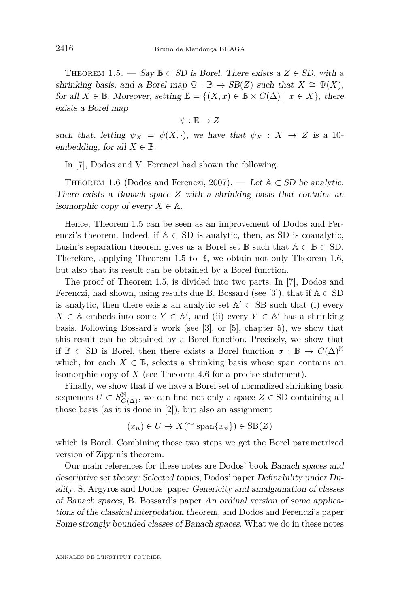<span id="page-4-0"></span>THEOREM 1.5. — Say  $\mathbb{B} \subset SD$  is Borel. There exists a  $Z \in SD$ , with a shrinking basis, and a Borel map  $\Psi : \mathbb{B} \to SB(Z)$  such that  $X \cong \Psi(X)$ , for all  $X \in \mathbb{B}$ . Moreover, setting  $\mathbb{E} = \{(X, x) \in \mathbb{B} \times C(\Delta) \mid x \in X\}$ , there exists a Borel map

 $\psi: \mathbb{E} \to Z$ 

such that, letting  $\psi_X = \psi(X, \cdot)$ , we have that  $\psi_X : X \to Z$  is a 10embedding, for all  $X \in \mathbb{B}$ .

In [\[7\]](#page-23-0), Dodos and V. Ferenczi had shown the following.

THEOREM 1.6 (Dodos and Ferenczi, 2007). — Let  $A \subset SD$  be analytic. There exists a Banach space *Z* with a shrinking basis that contains an isomorphic copy of every  $X \in \mathbb{A}$ .

Hence, Theorem 1.5 can be seen as an improvement of Dodos and Ferenczi's theorem. Indeed, if  $A \subseteq SD$  is analytic, then, as SD is coanalytic, Lusin's separation theorem gives us a Borel set  $\mathbb B$  such that  $\mathbb A \subset \mathbb B \subset \text{SD}$ . Therefore, applying Theorem 1.5 to  $\mathbb{B}$ , we obtain not only Theorem 1.6, but also that its result can be obtained by a Borel function.

The proof of Theorem 1.5, is divided into two parts. In [\[7\]](#page-23-0), Dodos and Ferenczi, had shown, using results due B. Bossard (see [\[3\]](#page-23-0)), that if  $A \subset SD$ is analytic, then there exists an analytic set  $\mathbb{A}' \subset \text{SB}$  such that (i) every  $X \in A$  embeds into some  $Y \in A'$ , and (ii) every  $Y \in A'$  has a shrinking basis. Following Bossard's work (see [\[3\]](#page-23-0), or [\[5\]](#page-23-0), chapter 5), we show that this result can be obtained by a Borel function. Precisely, we show that if  $\mathbb{B} \subset$  SD is Borel, then there exists a Borel function  $\sigma : \mathbb{B} \to C(\Delta)^{\mathbb{N}}$ which, for each  $X \in \mathbb{B}$ , selects a shrinking basis whose span contains an isomorphic copy of *X* (see Theorem [4.6](#page-19-0) for a precise statement).

Finally, we show that if we have a Borel set of normalized shrinking basic sequences  $U \subset S^{\mathbb{N}}_{C(\Delta)}$ , we can find not only a space  $Z \in \mathbb{SD}$  containing all those basis (as it is done in [\[2\]](#page-23-0)), but also an assignment

$$
(x_n) \in U \mapsto X(\cong \overline{\text{span}}\{x_n\}) \in \text{SB}(Z)
$$

which is Borel. Combining those two steps we get the Borel parametrized version of Zippin's theorem.

Our main references for these notes are Dodos' book Banach spaces and descriptive set theory: Selected topics, Dodos' paper Definability under Duality, S. Argyros and Dodos' paper Genericity and amalgamation of classes of Banach spaces, B. Bossard's paper An ordinal version of some applications of the classical interpolation theorem, and Dodos and Ferenczi's paper Some strongly bounded classes of Banach spaces. What we do in these notes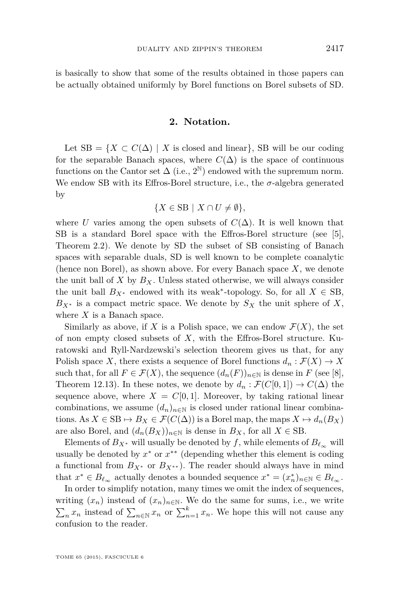is basically to show that some of the results obtained in those papers can be actually obtained uniformly by Borel functions on Borel subsets of SD.

#### **2. Notation.**

Let  $SB = \{X \subset C(\Delta) \mid X \text{ is closed and linear}\}, SB will be our coding$ for the separable Banach spaces, where  $C(\Delta)$  is the space of continuous functions on the Cantor set  $\Delta$  (i.e., 2<sup>N</sup>) endowed with the supremum norm. We endow SB with its Effros-Borel structure, i.e., the  $\sigma$ -algebra generated by

$$
\{X \in \text{SB} \mid X \cap U \neq \emptyset\},\
$$

where *U* varies among the open subsets of  $C(\Delta)$ . It is well known that SB is a standard Borel space with the Effros-Borel structure (see [\[5\]](#page-23-0), Theorem 2.2). We denote by SD the subset of SB consisting of Banach spaces with separable duals, SD is well known to be complete coanalytic (hence non Borel), as shown above. For every Banach space *X*, we denote the unit ball of  $X$  by  $B_X$ . Unless stated otherwise, we will always consider the unit ball  $B_{X^*}$  endowed with its weak<sup>\*</sup>-topology. So, for all  $X \in \text{SB}$ ,  $B_{X^*}$  is a compact metric space. We denote by  $S_X$  the unit sphere of X, where *X* is a Banach space.

Similarly as above, if X is a Polish space, we can endow  $\mathcal{F}(X)$ , the set of non empty closed subsets of *X*, with the Effros-Borel structure. Kuratowski and Ryll-Nardzewski's selection theorem gives us that, for any Polish space *X*, there exists a sequence of Borel functions  $d_n : \mathcal{F}(X) \to X$ such that, for all  $F \in \mathcal{F}(X)$ , the sequence  $(d_n(F))_{n \in \mathbb{N}}$  is dense in  $F$  (see [\[8\]](#page-23-0), Theorem 12.13). In these notes, we denote by  $d_n : \mathcal{F}(C[0,1]) \to C(\Delta)$  the sequence above, where  $X = C[0, 1]$ . Moreover, by taking rational linear combinations, we assume  $(d_n)_{n\in\mathbb{N}}$  is closed under rational linear combinations. As  $X \in \text{SB} \mapsto B_X \in \mathcal{F}(C(\Delta))$  is a Borel map, the maps  $X \mapsto d_n(B_X)$ are also Borel, and  $(d_n(B_X))_{n \in \mathbb{N}}$  is dense in  $B_X$ , for all  $X \in \text{SB}$ .

Elements of  $B_{X^*}$  will usually be denoted by f, while elements of  $B_{\ell_{\infty}}$  will usually be denoted by  $x^*$  or  $x^{**}$  (depending whether this element is coding a functional from  $B_{X^*}$  or  $B_{X^{**}}$ ). The reader should always have in mind that  $x^* \in B_{\ell_\infty}$  actually denotes a bounded sequence  $x^* = (x_n^*)_{n \in \mathbb{N}} \in B_{\ell_\infty}$ .

In order to simplify notation, many times we omit the index of sequences, writing  $(x_n)$  instead of  $(x_n)_{n\in\mathbb{N}}$ . We do the same for sums, i.e., we write  $\sum_{n} x_n$  instead of  $\sum_{n \in \mathbb{N}} x_n$  or  $\sum_{n=1}^k x_n$ . We hope this will not cause any confusion to the reader.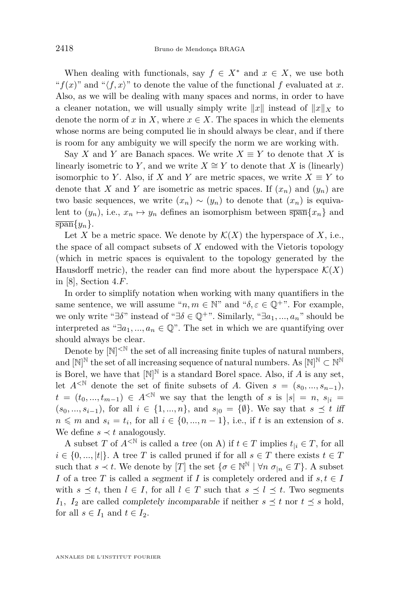When dealing with functionals, say  $f \in X^*$  and  $x \in X$ , we use both " $f(x)$ " and " $\langle f, x \rangle$ " to denote the value of the functional f evaluated at *x*. Also, as we will be dealing with many spaces and norms, in order to have a cleaner notation, we will usually simply write  $||x||$  instead of  $||x||_X$  to denote the norm of  $x$  in  $X$ , where  $x \in X$ . The spaces in which the elements whose norms are being computed lie in should always be clear, and if there is room for any ambiguity we will specify the norm we are working with.

Say *X* and *Y* are Banach spaces. We write  $X \equiv Y$  to denote that *X* is linearly isometric to *Y*, and we write  $X \cong Y$  to denote that *X* is (linearly) isomorphic to *Y*. Also, if *X* and *Y* are metric spaces, we write  $X \equiv Y$  to denote that *X* and *Y* are isometric as metric spaces. If  $(x_n)$  and  $(y_n)$  are two basic sequences, we write  $(x_n) \sim (y_n)$  to denote that  $(x_n)$  is equivalent to  $(y_n)$ , i.e.,  $x_n \mapsto y_n$  defines an isomorphism between  $\overline{\text{span}}\{x_n\}$  and  $\overline{\text{span}}\{y_n\}.$ 

Let X be a metric space. We denote by  $\mathcal{K}(X)$  the hyperspace of X, i.e., the space of all compact subsets of *X* endowed with the Vietoris topology (which in metric spaces is equivalent to the topology generated by the Hausdorff metric), the reader can find more about the hyperspace  $\mathcal{K}(X)$ in [\[8\]](#page-23-0), Section 4*.F*.

In order to simplify notation when working with many quantifiers in the same sentence, we will assume " $n, m \in \mathbb{N}$ " and " $\delta, \varepsilon \in \mathbb{Q}^+$ ". For example, we only write " $\exists \delta$ " instead of " $\exists \delta \in \mathbb{Q}^+$ ". Similarly, " $\exists a_1, ..., a_n$ " should be interpreted as " $\exists a_1, ..., a_n \in \mathbb{Q}$ ". The set in which we are quantifying over should always be clear.

Denote by  $[N]^{< N}$  the set of all increasing finite tuples of natural numbers, and  $[N]^{\mathbb{N}}$  the set of all increasing sequence of natural numbers. As  $[N]^{\mathbb{N}} \subset N^{\mathbb{N}}$ is Borel, we have that  $[N]^{\mathbb{N}}$  is a standard Borel space. Also, if *A* is any set, let  $A^{\leq \mathbb{N}}$  denote the set of finite subsets of *A*. Given  $s = (s_0, ..., s_{n-1})$ , *t* =  $(t_0, ..., t_{m-1})$  ∈  $A^{\leq N}$  we say that the length of *s* is  $|s| = n$ ,  $s_{|i}$  $(s_0, ..., s_{i-1})$ , for all *i* ∈ {1, ..., *n*}, and  $s_{|0} = \{\emptyset\}$ . We say that  $s ≤ t$  iff  $n \leq m$  and  $s_i = t_i$ , for all  $i \in \{0, ..., n-1\}$ , i.e., if *t* is an extension of *s*. We define  $s \prec t$  analogously.

A subset *T* of  $A^{\leq \mathbb{N}}$  is called a tree (on A) if  $t \in T$  implies  $t_{\vert i} \in T$ , for all  $i \in \{0, ..., |t|\}$ . A tree *T* is called pruned if for all  $s \in T$  there exists  $t \in T$ such that  $s \prec t$ . We denote by [*T*] the set  $\{\sigma \in \mathbb{N}^{\mathbb{N}} \mid \forall n \; \sigma_{|n} \in T\}$ . A subset *I* of a tree *T* is called a segment if *I* is completely ordered and if  $s, t \in I$ with  $s \preceq t$ , then  $l \in I$ , for all  $l \in T$  such that  $s \preceq l \preceq t$ . Two segments *I*<sub>1</sub>*, I*<sub>2</sub> are called completely incomparable if neither  $s \preceq t$  nor  $t \preceq s$  hold, for all  $s \in I_1$  and  $t \in I_2$ .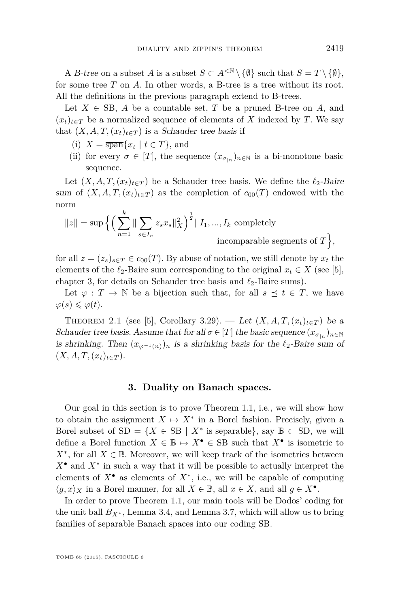<span id="page-7-0"></span>A B-tree on a subset *A* is a subset  $S \subset A^{\langle \mathbb{N} \setminus \{ \emptyset \} \rangle}$  such that  $S = T \setminus \{ \emptyset \}$ , for some tree *T* on *A*. In other words, a B-tree is a tree without its root. All the definitions in the previous paragraph extend to B-trees.

Let  $X \in SB$ , A be a countable set, T be a pruned B-tree on A, and  $(x_t)_{t \in T}$  be a normalized sequence of elements of X indexed by T. We say that  $(X, A, T, (x_t)_{t \in T})$  is a Schauder tree basis if

- (i)  $X = \overline{\text{span}}\{x_t \mid t \in T\}$ , and
- (ii) for every  $\sigma \in [T]$ , the sequence  $(x_{\sigma|n})_{n \in \mathbb{N}}$  is a bi-monotone basic sequence.

Let  $(X, A, T, (x_t)_{t \in T})$  be a Schauder tree basis. We define the  $\ell_2$ -Baire sum of  $(X, A, T, (x_t)_{t \in T})$  as the completion of  $c_{00}(T)$  endowed with the norm

$$
||z|| = \sup \Big\{ \Big( \sum_{n=1}^{k} || \sum_{s \in I_n} z_s x_s ||_X^2 \Big)^{\frac{1}{2}} \Big| I_1, ..., I_k \text{ completely}
$$
  
incomparable segments of  $T \Big\},\$ 

for all  $z = (z_s)_{s \in T} \in c_{00}(T)$ . By abuse of notation, we still denote by  $x_t$  the elements of the  $\ell_2$ -Baire sum corresponding to the original  $x_t \in X$  (see [\[5\]](#page-23-0), chapter 3, for details on Schauder tree basis and  $\ell_2$ -Baire sums).

Let  $\varphi : T \to \mathbb{N}$  be a bijection such that, for all  $s \preceq t \in T$ , we have  $\varphi(s) \leqslant \varphi(t)$ .

THEOREM 2.1 (see [\[5\]](#page-23-0), Corollary 3.29). — Let  $(X, A, T, (x_t)_{t \in T})$  be a Schauder tree basis. Assume that for all  $\sigma \in [T]$  the basic sequence  $(x_{\sigma|n})_{n \in \mathbb{N}}$ is shrinking. Then  $(x_{\varphi^{-1}(n)})_n$  is a shrinking basis for the  $\ell_2$ -Baire sum of  $(X, A, T, (x_t)_{t \in T}).$ 

#### **3. Duality on Banach spaces.**

Our goal in this section is to prove Theorem [1.1,](#page-2-0) i.e., we will show how to obtain the assignment  $X \mapsto X^*$  in a Borel fashion. Precisely, given a Borel subset of  $SD = \{X \in SB \mid X^* \text{ is separable}\}, \text{ say } \mathbb{B} \subset SD, \text{ we will}$ define a Borel function  $X \in \mathbb{B} \mapsto X^{\bullet} \in \text{SB}$  such that  $X^{\bullet}$  is isometric to  $X^*$ , for all  $X \in \mathbb{B}$ . Moreover, we will keep track of the isometries between *X*• and *X*<sup>∗</sup> in such a way that it will be possible to actually interpret the elements of  $X^{\bullet}$  as elements of  $X^*$ , i.e., we will be capable of computing  $\langle g, x \rangle_X$  in a Borel manner, for all  $X \in \mathbb{B}$ , all  $x \in X$ , and all  $g \in X^{\bullet}$ .

In order to prove Theorem [1.1,](#page-2-0) our main tools will be Dodos' coding for the unit ball  $B_{X^*}$ , Lemma [3.4,](#page-9-0) and Lemma [3.7,](#page-11-0) which will allow us to bring families of separable Banach spaces into our coding SB.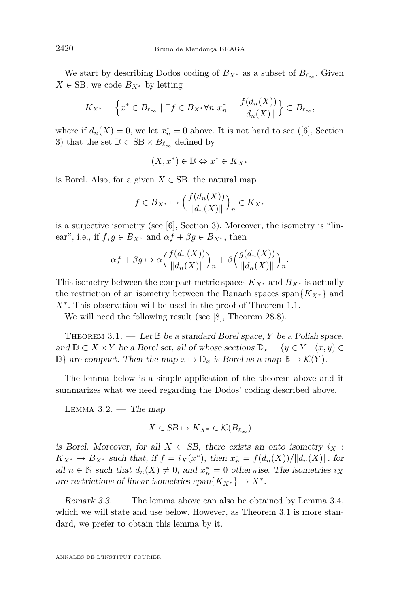<span id="page-8-0"></span>We start by describing Dodos coding of  $B_{X^*}$  as a subset of  $B_{\ell_{\infty}}$ . Given  $X \in$  SB, we code  $B_{X^*}$  by letting

$$
K_{X^*} = \left\{ x^* \in B_{\ell_\infty} \mid \exists f \in B_{X^*} \forall n \ x_n^* = \frac{f(d_n(X))}{\|d_n(X)\|} \right\} \subset B_{\ell_\infty},
$$

where if  $d_n(X) = 0$ , we let  $x_n^* = 0$  above. It is not hard to see ([\[6\]](#page-23-0), Section 3) that the set  $\mathbb{D} \subset \text{SB} \times B_{\ell_{\infty}}$  defined by

 $(X, x^*) \in \mathbb{D} \Leftrightarrow x^* \in K_{X^*}$ 

is Borel. Also, for a given  $X \in \text{SB}$ , the natural map

$$
f \in B_{X^*} \mapsto \left(\frac{f(d_n(X))}{\|d_n(X)\|}\right)_n \in K_{X^*}
$$

is a surjective isometry (see  $[6]$ , Section 3). Moreover, the isometry is "linear", i.e., if  $f, g \in B_{X^*}$  and  $\alpha f + \beta g \in B_{X^*}$ , then

$$
\alpha f + \beta g \mapsto \alpha \Big( \frac{f(d_n(X))}{\|d_n(X)\|} \Big)_n + \beta \Big( \frac{g(d_n(X))}{\|d_n(X)\|} \Big)_n.
$$

This isometry between the compact metric spaces  $K_{X^*}$  and  $B_{X^*}$  is actually the restriction of an isometry between the Banach spaces span ${K_X*}$  and *X*<sup>∗</sup> . This observation will be used in the proof of Theorem [1.1.](#page-2-0)

We will need the following result (see [\[8\]](#page-23-0), Theorem 28*.*8).

THEOREM  $3.1.$  — Let  $\mathbb B$  be a standard Borel space, *Y* be a Polish space, and  $\mathbb{D} \subset X \times Y$  be a Borel set, all of whose sections  $\mathbb{D}_x = \{y \in Y \mid (x, y) \in Y\}$  $\mathbb{D}\}$  are compact. Then the map  $x \mapsto \mathbb{D}_x$  is Borel as a map  $\mathbb{B} \to \mathcal{K}(Y)$ .

The lemma below is a simple application of the theorem above and it summarizes what we need regarding the Dodos' coding described above.

LEMMA  $3.2.$  — The map

$$
X \in SB \mapsto K_{X^*} \in \mathcal{K}(B_{\ell_\infty})
$$

is Borel. Moreover, for all  $X \in SB$ , there exists an onto isometry  $i_X$ : *K*<sub>*X*</sub><sup>∗</sup> → *B*<sub>*X*<sup>\*</sup> such that, if *f* = *i*<sub>*X*</sub>(*x*<sup>\*</sup>), then  $x_n^* = f(d_n(X))/||d_n(X)||$ , for</sub> all  $n \in \mathbb{N}$  such that  $d_n(X) \neq 0$ , and  $x_n^* = 0$  otherwise. The isometries  $i_X$ are restrictions of linear isometries span ${K_X^*}\rightarrow X^*$ .

Remark 3.3. — The lemma above can also be obtained by Lemma [3.4,](#page-9-0) which we will state and use below. However, as Theorem 3.1 is more standard, we prefer to obtain this lemma by it.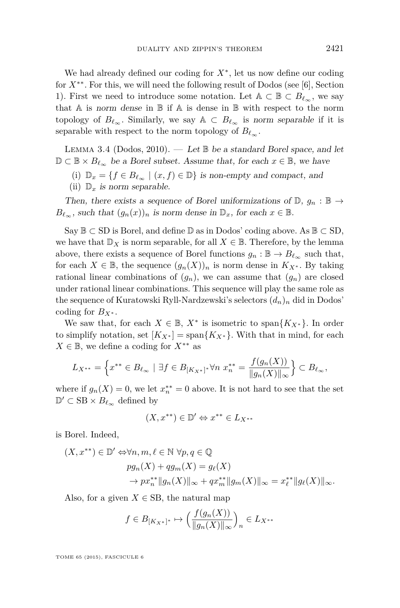<span id="page-9-0"></span>We had already defined our coding for  $X^*$ , let us now define our coding for *X*∗∗. For this, we will need the following result of Dodos (see [\[6\]](#page-23-0), Section 1). First we need to introduce some notation. Let  $A \subset \mathbb{B} \subset B_{\ell_{\infty}}$ , we say that  $A$  is norm dense in  $B$  if  $A$  is dense in  $B$  with respect to the norm topology of  $B_{\ell_{\infty}}$ . Similarly, we say  $A \subset B_{\ell_{\infty}}$  is norm separable if it is separable with respect to the norm topology of  $B_{\ell_{\infty}}$ .

LEMMA 3.4 (Dodos, 2010). — Let  $\mathbb B$  be a standard Borel space, and let  $\mathbb{D} \subset \mathbb{B} \times B_{\ell_{\infty}}$  be a Borel subset. Assume that, for each  $x \in \mathbb{B}$ , we have

(i)  $\mathbb{D}_x = \{f \in B_{\ell_\infty} \mid (x, f) \in \mathbb{D}\}\$ is non-empty and compact, and (ii)  $\mathbb{D}_x$  is norm separable.

Then, there exists a sequence of Borel uniformizations of  $\mathbb{D}, g_n : \mathbb{B} \to$  $B_{\ell_{\infty}}$ , such that  $(g_n(x))_n$  is norm dense in  $\mathbb{D}_x$ , for each  $x \in \mathbb{B}$ .

Say  $\mathbb{B} \subset$  SD is Borel, and define  $\mathbb{D}$  as in Dodos' coding above. As  $\mathbb{B} \subset$  SD, we have that  $\mathbb{D}_X$  is norm separable, for all  $X \in \mathbb{B}$ . Therefore, by the lemma above, there exists a sequence of Borel functions  $g_n : \mathbb{B} \to B_{\ell_\infty}$  such that, for each  $X \in \mathbb{B}$ , the sequence  $(g_n(X))_n$  is norm dense in  $K_{X^*}$ . By taking rational linear combinations of  $(g_n)$ , we can assume that  $(g_n)$  are closed under rational linear combinations. This sequence will play the same role as the sequence of Kuratowski Ryll-Nardzewski's selectors (*dn*)*<sup>n</sup>* did in Dodos' coding for  $B_{X^*}$ .

We saw that, for each  $X \in \mathbb{B}$ ,  $X^*$  is isometric to span $\{K_{X^*}\}\$ . In order to simplify notation, set  $[K_{X^*}] = \text{span}\{K_{X^*}\}\$ . With that in mind, for each  $X \in \mathbb{B}$ , we define a coding for  $X^{**}$  as

$$
L_{X^{**}} = \left\{ x^{**} \in B_{\ell_{\infty}} \mid \exists f \in B_{[K_X*]} * \forall n \ x_n^{**} = \frac{f(g_n(X))}{\|g_n(X)\|_{\infty}} \right\} \subset B_{\ell_{\infty}},
$$

where if  $g_n(X) = 0$ , we let  $x_n^{**} = 0$  above. It is not hard to see that the set  $\mathbb{D}' \subset \text{SB} \times B_{\ell_{\infty}}$  defined by

$$
(X,x^{**})\in \mathbb{D}' \Leftrightarrow x^{**}\in L_{X^{**}}
$$

is Borel. Indeed,

$$
(X, x^{**}) \in \mathbb{D}' \Leftrightarrow \forall n, m, \ell \in \mathbb{N} \ \forall p, q \in \mathbb{Q}
$$
  
\n
$$
pg_n(X) + qg_m(X) = g_{\ell}(X)
$$
  
\n
$$
\rightarrow px_n^{**} ||g_n(X)||_{\infty} + qx_m^{**} ||g_m(X)||_{\infty} = x_{\ell}^{**} ||g_{\ell}(X)||_{\infty}.
$$

Also, for a given  $X \in \text{SB}$ , the natural map

$$
f \in B_{[K_X*]^*} \mapsto \left(\frac{f(g_n(X))}{\|g_n(X)\|_{\infty}}\right)_n \in L_{X^{**}}
$$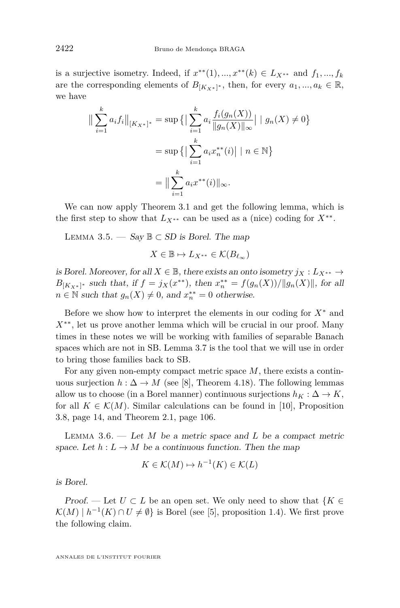<span id="page-10-0"></span>is a surjective isometry. Indeed, if  $x^{**}(1), ..., x^{**}(k) \in L_{X^{**}}$  and  $f_1, ..., f_k$ are the corresponding elements of  $B_{[K_X*]^*}$ , then, for every  $a_1, ..., a_k \in \mathbb{R}$ , we have

$$
\|\sum_{i=1}^{k} a_i f_i\|_{[K_X*]^*} = \sup \{ \|\sum_{i=1}^{k} a_i \frac{f_i(g_n(X))}{\|g_n(X)\|_{\infty}}| \mid g_n(X) \neq 0 \}
$$

$$
= \sup \{ \|\sum_{i=1}^{k} a_i x_n^{**}(i)\| \mid n \in \mathbb{N} \}
$$

$$
= \|\sum_{i=1}^{k} a_i x^{**}(i)\|_{\infty}.
$$

We can now apply Theorem [3.1](#page-8-0) and get the following lemma, which is the first step to show that  $L_{X^{**}}$  can be used as a (nice) coding for  $X^{**}$ .

LEMMA 3.5. — Say  $\mathbb{B} \subset SD$  is Borel. The map

$$
X\in \mathbb{B}\mapsto L_{X^{**}}\in \mathcal{K}(B_{\ell_\infty})
$$

is Borel. Moreover, for all  $X \in \mathbb{B}$ , there exists an onto isometry  $j_X : L_{X^{**}} \to$ *B*<sub>[*K*<sub>*X*</sub>\*]</sub><sup>\*</sup> such that, if  $f = j_X(x^{**})$ , then  $x_n^{**} = f(g_n(X))/||g_n(X)||$ , for all  $n \in \mathbb{N}$  such that  $g_n(X) \neq 0$ , and  $x_n^{**} = 0$  otherwise.

Before we show how to interpret the elements in our coding for *X*<sup>∗</sup> and *X*∗∗, let us prove another lemma which will be crucial in our proof. Many times in these notes we will be working with families of separable Banach spaces which are not in SB. Lemma [3.7](#page-11-0) is the tool that we will use in order to bring those families back to SB.

For any given non-empty compact metric space *M*, there exists a continuous surjection  $h : \Delta \to M$  (see [\[8\]](#page-23-0), Theorem 4.18). The following lemmas allow us to choose (in a Borel manner) continuous surjections  $h_K : \Delta \to K$ , for all  $K \in \mathcal{K}(M)$ . Similar calculations can be found in [\[10\]](#page-23-0), Proposition 3.8, page 14, and Theorem 2.1, page 106.

Lemma 3.6. — Let *M* be a metric space and *L* be a compact metric space. Let  $h: L \to M$  be a continuous function. Then the map

$$
K \in \mathcal{K}(M) \mapsto h^{-1}(K) \in \mathcal{K}(L)
$$

is Borel.

Proof. — Let  $U \subset L$  be an open set. We only need to show that  $\{K \in$  $\mathcal{K}(M) \mid h^{-1}(K) \cap U \neq \emptyset$  is Borel (see [\[5\]](#page-23-0), proposition 1.4). We first prove the following claim.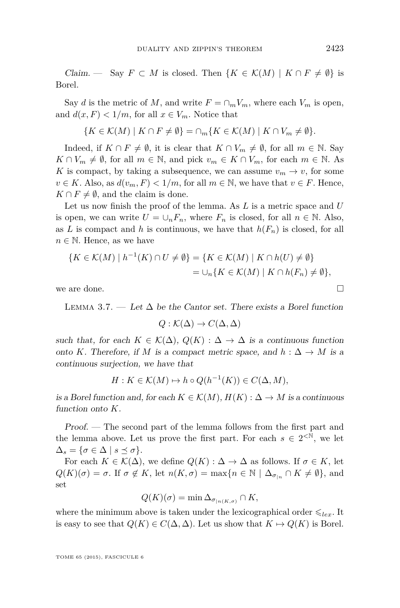<span id="page-11-0"></span>*Claim.* — Say  $F \subset M$  is closed. Then  $\{K \in \mathcal{K}(M) \mid K \cap F \neq \emptyset\}$  is Borel.

Say *d* is the metric of *M*, and write  $F = \bigcap_m V_m$ , where each  $V_m$  is open, and  $d(x, F) < 1/m$ , for all  $x \in V_m$ . Notice that

$$
\{K \in \mathcal{K}(M) \mid K \cap F \neq \emptyset\} = \cap_m \{K \in \mathcal{K}(M) \mid K \cap V_m \neq \emptyset\}.
$$

Indeed, if  $K \cap F \neq \emptyset$ , it is clear that  $K \cap V_m \neq \emptyset$ , for all  $m \in \mathbb{N}$ . Say  $K \cap V_m \neq \emptyset$ , for all  $m \in \mathbb{N}$ , and pick  $v_m \in K \cap V_m$ , for each  $m \in \mathbb{N}$ . As *K* is compact, by taking a subsequence, we can assume  $v_m \to v$ , for some  $v \in K$ . Also, as  $d(v_m, F) < 1/m$ , for all  $m \in \mathbb{N}$ , we have that  $v \in F$ . Hence,  $K \cap F \neq \emptyset$ , and the claim is done.

Let us now finish the proof of the lemma. As *L* is a metric space and *U* is open, we can write  $U = \bigcup_n F_n$ , where  $F_n$  is closed, for all  $n \in \mathbb{N}$ . Also, as *L* is compact and *h* is continuous, we have that  $h(F_n)$  is closed, for all  $n \in \mathbb{N}$ . Hence, as we have

$$
\{K \in \mathcal{K}(M) \mid h^{-1}(K) \cap U \neq \emptyset\} = \{K \in \mathcal{K}(M) \mid K \cap h(U) \neq \emptyset\}
$$
  
=  $\cup_n \{K \in \mathcal{K}(M) \mid K \cap h(F_n) \neq \emptyset\},\$ 

we are done.  $\Box$ 

LEMMA 3.7. — Let  $\Delta$  be the Cantor set. There exists a Borel function

$$
Q: \mathcal{K}(\Delta) \to C(\Delta, \Delta)
$$

such that, for each  $K \in \mathcal{K}(\Delta)$ ,  $Q(K) : \Delta \to \Delta$  is a continuous function onto *K*. Therefore, if *M* is a compact metric space, and  $h : \Delta \to M$  is a continuous surjection, we have that

$$
H: K \in \mathcal{K}(M) \mapsto h \circ Q(h^{-1}(K)) \in C(\Delta, M),
$$

is a Borel function and, for each  $K \in \mathcal{K}(M)$ ,  $H(K): \Delta \to M$  is a continuous function onto *K*.

Proof. — The second part of the lemma follows from the first part and the lemma above. Let us prove the first part. For each  $s \in 2^{\langle \mathbb{N} \rangle}$ , we let  $\Delta_s = \{ \sigma \in \Delta \mid s \preceq \sigma \}.$ 

For each  $K \in \mathcal{K}(\Delta)$ , we define  $Q(K): \Delta \to \Delta$  as follows. If  $\sigma \in K$ , let  $Q(K)(\sigma) = \sigma$ . If  $\sigma \notin K$ , let  $n(K, \sigma) = \max\{n \in \mathbb{N} \mid \Delta_{\sigma|n} \cap K \neq \emptyset\}$ , and set

$$
Q(K)(\sigma) = \min \Delta_{\sigma_{|n(K,\sigma)}} \cap K,
$$

where the minimum above is taken under the lexicographical order  $\leq_{lex}$ . It is easy to see that  $Q(K) \in C(\Delta, \Delta)$ . Let us show that  $K \mapsto Q(K)$  is Borel.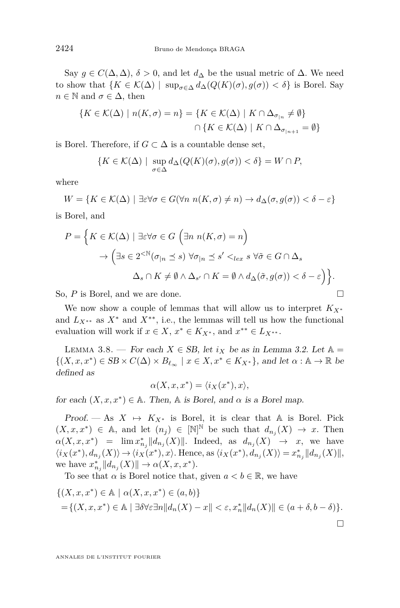<span id="page-12-0"></span>Say  $g \in C(\Delta, \Delta)$ ,  $\delta > 0$ , and let  $d_{\Delta}$  be the usual metric of  $\Delta$ . We need to show that  ${K \in \mathcal{K}(\Delta) \mid \sup_{\sigma \in \Delta} d_{\Delta}(Q(K)(\sigma), g(\sigma)) < \delta}$  is Borel. Say  $n \in \mathbb{N}$  and  $\sigma \in \Delta$ , then

$$
\{K \in \mathcal{K}(\Delta) \mid n(K, \sigma) = n\} = \{K \in \mathcal{K}(\Delta) \mid K \cap \Delta_{\sigma_{|n}} \neq \emptyset\}
$$

$$
\cap \{K \in \mathcal{K}(\Delta) \mid K \cap \Delta_{\sigma_{|n+1}} = \emptyset\}
$$

is Borel. Therefore, if  $G \subset \Delta$  is a countable dense set,

$$
\{K \in \mathcal{K}(\Delta) \mid \sup_{\sigma \in \Delta} d_{\Delta}(Q(K)(\sigma), g(\sigma)) < \delta\} = W \cap P,
$$

where

$$
W = \{ K \in \mathcal{K}(\Delta) \mid \exists \varepsilon \forall \sigma \in G(\forall n \ n(K, \sigma) \neq n) \to d_{\Delta}(\sigma, g(\sigma)) < \delta - \varepsilon \}
$$

is Borel, and

$$
P = \left\{ K \in \mathcal{K}(\Delta) \mid \exists \varepsilon \forall \sigma \in G \, \left( \exists n \, n(K, \sigma) = n \right) \right\}
$$

$$
\to \left( \exists s \in 2^{<\mathbb{N}} (\sigma_{|n} \le s) \, \forall \sigma_{|n} \le s' <_{lex} s \, \forall \tilde{\sigma} \in G \cap \Delta_s \right.
$$

$$
\Delta_s \cap K \neq \emptyset \land \Delta_{s'} \cap K = \emptyset \land d_{\Delta}(\tilde{\sigma}, g(\sigma)) < \delta - \varepsilon \right) \right\}.
$$

So, *P* is Borel, and we are done. □

We now show a couple of lemmas that will allow us to interpret *KX*<sup>∗</sup> and  $L_{X^{**}}$  as  $X^*$  and  $X^{**}$ , i.e., the lemmas will tell us how the functional evaluation will work if  $x \in X$ ,  $x^* \in K_{X^*}$ , and  $x^{**} \in L_{X^{**}}$ .

LEMMA 3.8. — For each  $X \in SB$ , let  $i_X$  be as in Lemma [3.2.](#page-8-0) Let  $\mathbb{A} =$  $\{(X, x, x^*) \in SB \times C(\Delta) \times B_{\ell_\infty} \mid x \in X, x^* \in K_{X^*}\}\text{, and let } \alpha : \mathbb{A} \to \mathbb{R} \text{ be }$ defined as

$$
\alpha(X, x, x^*) = \langle i_X(x^*), x \rangle,
$$

for each  $(X, x, x^*) \in A$ . Then, A is Borel, and  $\alpha$  is a Borel map.

Proof. — As  $X \mapsto K_{X^*}$  is Borel, it is clear that A is Borel. Pick  $(X, x, x^*) \in A$ , and let  $(n_j) \in [\mathbb{N}]^{\mathbb{N}}$  be such that  $d_{n_j}(X) \to x$ . Then  $\alpha(X, x, x^*)$  =  $\lim x_{n_j}^* ||d_{n_j}(X)||$ . Indeed, as  $d_{n_j}(X) \rightarrow x$ , we have  $\langle i_{X}(x^*),d_{n_j}(X)\rangle\rightarrow \langle i_{X}(x^*),x\rangle. \text{ Hence, as } \langle i_{X}(x^*),d_{n_j}(X)\rangle=x^*_{n_j}||d_{n_j}(X)||,$ we have  $x_{n_j}^* || d_{n_j}(X) || \to \alpha(X, x, x^*)$ .

To see that  $\alpha$  is Borel notice that, given  $a < b \in \mathbb{R}$ , we have

$$
\{(X, x, x^*) \in \mathbb{A} \mid \alpha(X, x, x^*) \in (a, b)\}
$$
  
= 
$$
\{(X, x, x^*) \in \mathbb{A} \mid \exists \delta \forall \varepsilon \exists n || d_n(X) - x || < \varepsilon, x_n^* || d_n(X) || \in (a + \delta, b - \delta)\}.
$$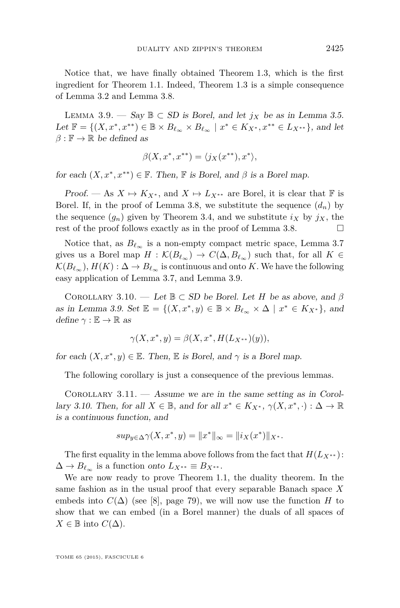<span id="page-13-0"></span>Notice that, we have finally obtained Theorem [1.3,](#page-3-0) which is the first ingredient for Theorem [1.1.](#page-2-0) Indeed, Theorem [1.3](#page-3-0) is a simple consequence of Lemma [3.2](#page-8-0) and Lemma [3.8.](#page-12-0)

LEMMA 3.9. − Say  $\mathbb{B} \subset SD$  is Borel, and let  $j<sub>X</sub>$  be as in Lemma [3.5.](#page-10-0) Let  $\mathbb{F} = \{(X, x^*, x^{**}) \in \mathbb{B} \times B_{\ell_{\infty}} \times B_{\ell_{\infty}} \mid x^* \in K_{X^*}, x^{**} \in L_{X^{**}}\},\$  and let  $\beta : \mathbb{F} \to \mathbb{R}$  be defined as

$$
\beta(X, x^*, x^{**}) = \langle j_X(x^{**}), x^* \rangle,
$$

for each  $(X, x^*, x^{**}) \in \mathbb{F}$ . Then,  $\mathbb{F}$  is Borel, and  $\beta$  is a Borel map.

Proof. — As  $X \mapsto K_{X^*}$ , and  $X \mapsto L_{X^{**}}$  are Borel, it is clear that  $\mathbb F$  is Borel. If, in the proof of Lemma [3.8,](#page-12-0) we substitute the sequence  $(d_n)$  by the sequence  $(g_n)$  given by Theorem [3.4,](#page-9-0) and we substitute  $i_X$  by  $j_X$ , the rest of the proof follows exactly as in the proof of Lemma [3.8.](#page-12-0)  $\Box$ 

Notice that, as  $B_{\ell_{\infty}}$  is a non-empty compact metric space, Lemma [3.7](#page-11-0) gives us a Borel map  $H : \mathcal{K}(B_{\ell_{\infty}}) \to C(\Delta, B_{\ell_{\infty}})$  such that, for all  $K \in$  $\mathcal{K}(B_{\ell_{\infty}}), H(K): \Delta \to B_{\ell_{\infty}}$  is continuous and onto *K*. We have the following easy application of Lemma [3.7,](#page-11-0) and Lemma 3.9.

COROLLARY 3.10. — Let  $\mathbb{B} \subset SD$  be Borel. Let *H* be as above, and  $\beta$ as in Lemma 3.9. Set  $\mathbb{E} = \{(X, x^*, y) \in \mathbb{B} \times B_{\ell_{\infty}} \times \Delta \mid x^* \in K_{X^*}\}\)$ , and define  $\gamma : \mathbb{E} \to \mathbb{R}$  as

$$
\gamma(X, x^*, y) = \beta(X, x^*, H(L_{X^{**}})(y)),
$$

for each  $(X, x^*, y) \in \mathbb{E}$ . Then,  $\mathbb E$  is Borel, and  $\gamma$  is a Borel map.

The following corollary is just a consequence of the previous lemmas.

COROLLARY  $3.11.$  — Assume we are in the same setting as in Corollary 3.10. Then, for all  $X \in \mathbb{B}$ , and for all  $x^* \in K_{X^*}$ ,  $\gamma(X, x^*, \cdot) : \Delta \to \mathbb{R}$ is a continuous function, and

$$
sup_{y \in \Delta} \gamma(X, x^*, y) = ||x^*||_{\infty} = ||i_X(x^*)||_{X^*}.
$$

The first equality in the lemma above follows from the fact that  $H(L_{X^{**}})$ :  $\Delta \rightarrow B_{\ell_{\infty}}$  is a function onto  $L_{X^{**}} \equiv B_{X^{**}}$ .

We are now ready to prove Theorem [1.1,](#page-2-0) the duality theorem. In the same fashion as in the usual proof that every separable Banach space *X* embeds into  $C(\Delta)$  (see [\[8\]](#page-23-0), page 79), we will now use the function *H* to show that we can embed (in a Borel manner) the duals of all spaces of  $X \in \mathbb{B}$  into *C*(Δ).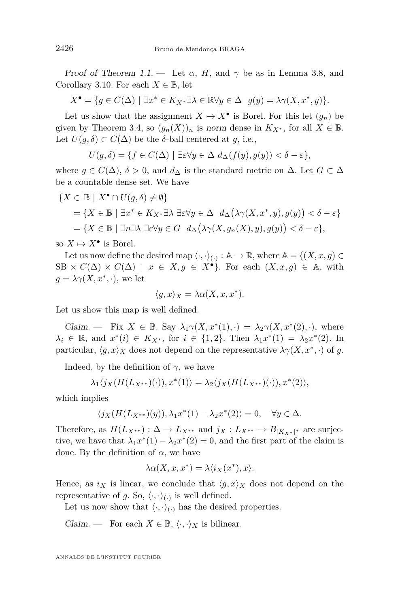Proof of Theorem [1.1.](#page-2-0) — Let  $\alpha$ , H, and  $\gamma$  be as in Lemma [3.8,](#page-12-0) and Corollary [3.10.](#page-13-0) For each  $X \in \mathbb{B}$ , let

$$
X^{\bullet} = \{ g \in C(\Delta) \mid \exists x^* \in K_{X^*} \exists \lambda \in \mathbb{R} \forall y \in \Delta \ \ g(y) = \lambda \gamma(X, x^*, y) \}.
$$

Let us show that the assignment  $X \mapsto X^{\bullet}$  is Borel. For this let  $(g_n)$  be given by Theorem [3.4,](#page-9-0) so  $(g_n(X))_n$  is norm dense in  $K_{X^*}$ , for all  $X \in \mathbb{B}$ . Let  $U(q, \delta) \subset C(\Delta)$  be the  $\delta$ -ball centered at *g*, i.e.,

$$
U(g,\delta) = \{ f \in C(\Delta) \mid \exists \varepsilon \forall y \in \Delta \ d_{\Delta}(f(y),g(y)) < \delta - \varepsilon \},
$$

where  $g \in C(\Delta)$ ,  $\delta > 0$ , and  $d_{\Delta}$  is the standard metric on  $\Delta$ . Let  $G \subset \Delta$ be a countable dense set. We have

$$
\{X \in \mathbb{B} \mid X^{\bullet} \cap U(g, \delta) \neq \emptyset\}
$$
  
=  $\{X \in \mathbb{B} \mid \exists x^* \in K_{X^*} \exists \lambda \exists \varepsilon \forall y \in \Delta \ d_{\Delta}(\lambda \gamma(X, x^*, y), g(y)) < \delta - \varepsilon\}$   
=  $\{X \in \mathbb{B} \mid \exists n \exists \lambda \exists \varepsilon \forall y \in G \ d_{\Delta}(\lambda \gamma(X, g_n(X), y), g(y)) < \delta - \varepsilon\},$ 

so  $X \mapsto X^{\bullet}$  is Borel.

Let us now define the desired map  $\langle \cdot, \cdot \rangle_{(\cdot)} : \mathbb{A} \to \mathbb{R}$ , where  $\mathbb{A} = \{(X, x, g) \in$  $SB \times C(\Delta) \times C(\Delta) \mid x \in X, g \in X^{\bullet}$ . For each  $(X, x, g) \in A$ , with  $g = \lambda \gamma(X, x^*, \cdot)$ , we let

$$
\langle g, x \rangle_X = \lambda \alpha(X, x, x^*).
$$

Let us show this map is well defined.

Claim. — Fix  $X \in \mathbb{B}$ . Say  $\lambda_1 \gamma(X, x^*(1), \cdot) = \lambda_2 \gamma(X, x^*(2), \cdot)$ , where  $\lambda_i \in \mathbb{R}$ , and  $x^*(i) \in K_{X^*}$ , for  $i \in \{1,2\}$ . Then  $\lambda_1 x^*(1) = \lambda_2 x^*(2)$ . In particular,  $\langle g, x \rangle_X$  does not depend on the representative  $\lambda \gamma(X, x^*, \cdot)$  of *g*.

Indeed, by the definition of  $\gamma$ , we have

$$
\lambda_1 \langle j_X(H(L_{X^{**}})(\cdot)), x^*(1) \rangle = \lambda_2 \langle j_X(H(L_{X^{**}})(\cdot)), x^*(2) \rangle,
$$

which implies

$$
\langle j_X(H(L_{X^{**}})(y)), \lambda_1 x^*(1) - \lambda_2 x^*(2) \rangle = 0, \quad \forall y \in \Delta.
$$

Therefore, as  $H(L_{X^{**}}): \Delta \to L_{X^{**}}$  and  $j_X: L_{X^{**}} \to B_{[K_{X^*}]^*}$  are surjective, we have that  $\lambda_1 x^*(1) - \lambda_2 x^*(2) = 0$ , and the first part of the claim is done. By the definition of  $\alpha$ , we have

$$
\lambda \alpha(X, x, x^*) = \lambda \langle i_X(x^*), x \rangle.
$$

Hence, as  $i_X$  is linear, we conclude that  $\langle g, x \rangle_X$  does not depend on the representative of g. So,  $\langle \cdot, \cdot \rangle_{(\cdot)}$  is well defined.

Let us now show that  $\langle \cdot, \cdot \rangle_{\langle \cdot, \cdot \rangle}$  has the desired properties.

*Claim.* — For each  $X \in \mathbb{B}$ ,  $\langle \cdot, \cdot \rangle_X$  is bilinear.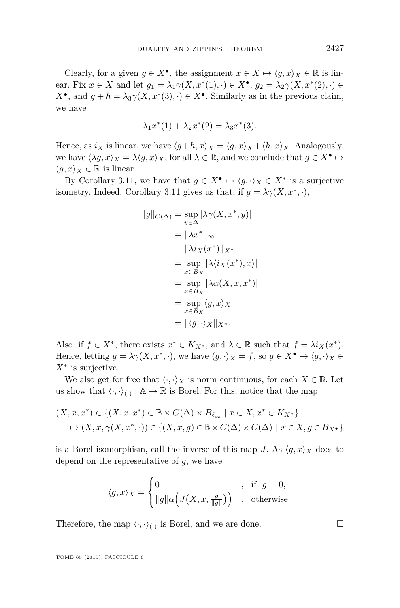Clearly, for a given  $g \in X^{\bullet}$ , the assignment  $x \in X \mapsto \langle g, x \rangle_X \in \mathbb{R}$  is linear. Fix  $x \in X$  and let  $g_1 = \lambda_1 \gamma(X, x^*(1), \cdot) \in X^{\bullet}, g_2 = \lambda_2 \gamma(X, x^*(2), \cdot) \in$  $X^{\bullet}$ , and  $g + h = \lambda_3 \gamma(X, x^*(3), \cdot) \in X^{\bullet}$ . Similarly as in the previous claim, we have

$$
\lambda_1 x^*(1) + \lambda_2 x^*(2) = \lambda_3 x^*(3).
$$

Hence, as  $i_X$  is linear, we have  $\langle g+h, x \rangle_X = \langle g, x \rangle_X + \langle h, x \rangle_X$ . Analogously, we have  $\langle \lambda g, x \rangle_X = \lambda \langle g, x \rangle_X$ , for all  $\lambda \in \mathbb{R}$ , and we conclude that  $g \in X^{\bullet} \mapsto$  $\langle q, x \rangle_X \in \mathbb{R}$  is linear.

By Corollary [3.11,](#page-13-0) we have that  $g \in X^{\bullet} \mapsto \langle g, \cdot \rangle_X \in X^*$  is a surjective isometry. Indeed, Corollary [3.11](#page-13-0) gives us that, if  $g = \lambda \gamma(X, x^*, \cdot)$ ,

$$
||g||_{C(\Delta)} = \sup_{y \in \Delta} |\lambda \gamma(X, x^*, y)|
$$
  
\n
$$
= ||\lambda x^*||_{\infty}
$$
  
\n
$$
= ||\lambda i_X(x^*)||_{X^*}
$$
  
\n
$$
= \sup_{x \in B_X} |\lambda \langle i_X(x^*), x \rangle|
$$
  
\n
$$
= \sup_{x \in B_X} |\lambda \alpha(X, x, x^*)|
$$
  
\n
$$
= \sup_{x \in B_X} \langle g, x \rangle_X
$$
  
\n
$$
= ||\langle g, \cdot \rangle_X||_{X^*}.
$$

Also, if  $f \in X^*$ , there exists  $x^* \in K_{X^*}$ , and  $\lambda \in \mathbb{R}$  such that  $f = \lambda i_X(x^*)$ . Hence, letting  $g = \lambda \gamma(X, x^*, \cdot)$ , we have  $\langle g, \cdot \rangle_X = f$ , so  $g \in X^{\bullet} \mapsto \langle g, \cdot \rangle_X \in$ *X*<sup>∗</sup> is surjective.

We also get for free that  $\langle \cdot, \cdot \rangle_X$  is norm continuous, for each  $X \in \mathbb{B}$ . Let us show that  $\langle \cdot, \cdot \rangle_{(\cdot)} : \mathbb{A} \to \mathbb{R}$  is Borel. For this, notice that the map

$$
(X, x, x^*) \in \{(X, x, x^*) \in \mathbb{B} \times C(\Delta) \times B_{\ell_{\infty}} \mid x \in X, x^* \in K_{X^*}\}
$$
  

$$
\mapsto (X, x, \gamma(X, x^*, \cdot)) \in \{(X, x, g) \in \mathbb{B} \times C(\Delta) \times C(\Delta) \mid x \in X, g \in B_{X^*}\}
$$

is a Borel isomorphism, call the inverse of this map *J*. As  $\langle q, x \rangle_X$  does to depend on the representative of *g*, we have

$$
\langle g, x \rangle_X = \begin{cases} 0 & , \text{ if } g = 0, \\ \|g\| \alpha \Big( J\big(X, x, \frac{g}{\|g\|}\big) \Big) & , \text{ otherwise.} \end{cases}
$$

Therefore, the map  $\langle \cdot, \cdot \rangle_{(\cdot)}$  is Borel, and we are done.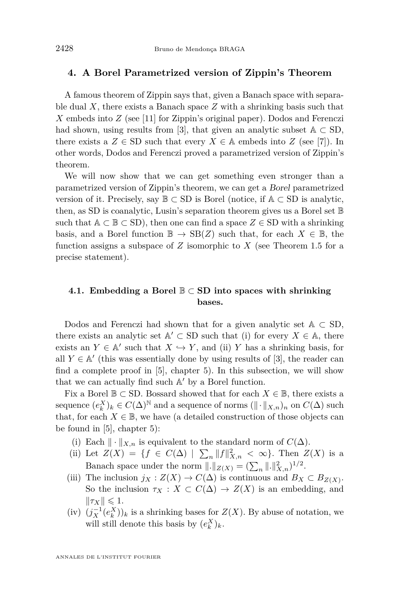#### **4. A Borel Parametrized version of Zippin's Theorem**

A famous theorem of Zippin says that, given a Banach space with separable dual *X*, there exists a Banach space *Z* with a shrinking basis such that *X* embeds into *Z* (see [\[11\]](#page-23-0) for Zippin's original paper). Dodos and Ferenczi had shown, using results from [\[3\]](#page-23-0), that given an analytic subset  $\mathbb{A} \subset SD$ , there exists a  $Z \in SD$  such that every  $X \in A$  embeds into  $Z$  (see [\[7\]](#page-23-0)). In other words, Dodos and Ferenczi proved a parametrized version of Zippin's theorem.

We will now show that we can get something even stronger than a parametrized version of Zippin's theorem, we can get a Borel parametrized version of it. Precisely, say  $\mathbb{B} \subset SD$  is Borel (notice, if  $\mathbb{A} \subset SD$  is analytic, then, as SD is coanalytic, Lusin's separation theorem gives us a Borel set B such that  $A \subset \mathbb{B} \subset SD$ , then one can find a space  $Z \in SD$  with a shrinking basis, and a Borel function  $\mathbb{B} \to \text{SB}(Z)$  such that, for each  $X \in \mathbb{B}$ , the function assigns a subspace of  $Z$  isomorphic to  $X$  (see Theorem [1.5](#page-4-0) for a precise statement).

#### **4.1. Embedding a Borel** B ⊂ **SD into spaces with shrinking bases.**

Dodos and Ferenczi had shown that for a given analytic set  $A \subset SD$ , there exists an analytic set  $\mathbb{A}' \subset \text{SD}$  such that (i) for every  $X \in \mathbb{A}$ , there exists an  $Y \in A'$  such that  $X \hookrightarrow Y$ , and (ii) *Y* has a shrinking basis, for all  $Y \in A'$  (this was essentially done by using results of [\[3\]](#page-23-0), the reader can find a complete proof in [\[5\]](#page-23-0), chapter 5). In this subsection, we will show that we can actually find such  $\mathbb{A}'$  by a Borel function.

Fix a Borel  $\mathbb{B} \subset$  SD. Bossard showed that for each  $X \in \mathbb{B}$ , there exists a sequence  $(e_k^X)_k \in C(\Delta)^{\mathbb{N}}$  and a sequence of norms  $(\Vert \cdot \Vert_{X,n})_n$  on  $C(\Delta)$  such that, for each  $X \in \mathbb{B}$ , we have (a detailed construction of those objects can be found in [\[5\]](#page-23-0), chapter 5):

- (i) Each  $\|\cdot\|_{X,n}$  is equivalent to the standard norm of  $C(\Delta)$ .
- (ii) Let  $Z(X) = \{ f \in C(\Delta) \mid \sum_{n} ||f||^2_{X,n} < \infty \}.$  Then  $Z(X)$  is a Banach space under the norm  $||.||_{Z(X)} = (\sum_{n} ||.||_{X,n}^2)^{1/2}$ .
- (iii) The inclusion  $j_X : Z(X) \to C(\Delta)$  is continuous and  $B_X \subset B_{Z(X)}$ . So the inclusion  $\tau_X : X \subset C(\Delta) \to Z(X)$  is an embedding, and  $\|\tau_X\| \leqslant 1.$
- $(iv)$   $(j_X^{-1}(e_k^X))_k$  is a shrinking bases for  $Z(X)$ . By abuse of notation, we will still denote this basis by  $(e_k^X)_k$ .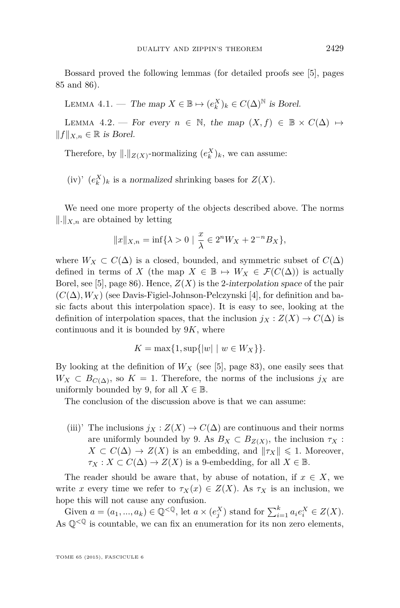<span id="page-17-0"></span>Bossard proved the following lemmas (for detailed proofs see [\[5\]](#page-23-0), pages 85 and 86).

LEMMA 4.1. — The map  $X \in \mathbb{B} \mapsto (e_k^X)_k \in C(\Delta)^{\mathbb{N}}$  is Borel.

LEMMA 4.2. — For every  $n \in \mathbb{N}$ , the map  $(X, f) \in \mathbb{B} \times C(\Delta) \mapsto$  $||f||_{X,n} ∈ ℝ$  is Borel.

Therefore, by  $\Vert \cdot \Vert_{Z(X)}$ -normalizing  $(e_k^X)_k$ , we can assume:

 $(iv)'$   $(e_k^X)_k$  is a normalized shrinking bases for  $Z(X)$ .

We need one more property of the objects described above. The norms  $\Vert . \Vert_{X,n}$  are obtained by letting

$$
||x||_{X,n} = \inf\{\lambda > 0 \mid \frac{x}{\lambda} \in 2^n W_X + 2^{-n} B_X\},\
$$

where  $W_X \subset C(\Delta)$  is a closed, bounded, and symmetric subset of  $C(\Delta)$ defined in terms of *X* (the map  $X \in \mathbb{B} \mapsto W_X \in \mathcal{F}(C(\Delta))$  is actually Borel, see [\[5\]](#page-23-0), page 86). Hence, *Z*(*X*) is the 2-interpolation space of the pair  $(C(\Delta), W_X)$  (see Davis-Figiel-Johnson-Pelczynski [\[4\]](#page-23-0), for definition and basic facts about this interpolation space). It is easy to see, looking at the definition of interpolation spaces, that the inclusion  $j_X : Z(X) \to C(\Delta)$  is continuous and it is bounded by 9*K*, where

$$
K = \max\{1, \sup\{|w| \mid w \in W_X\}\}.
$$

By looking at the definition of  $W_X$  (see [\[5\]](#page-23-0), page 83), one easily sees that  $W_X \subset B_{C(\Delta)}$ , so  $K = 1$ . Therefore, the norms of the inclusions *j<sub>X</sub>* are uniformly bounded by 9, for all  $X \in \mathbb{B}$ .

The conclusion of the discussion above is that we can assume:

(iii)' The inclusions  $j_X : Z(X) \to C(\Delta)$  are continuous and their norms are uniformly bounded by 9. As  $B_X \subset B_{Z(X)}$ , the inclusion  $\tau_X$ :  $X \subset C(\Delta) \to Z(X)$  is an embedding, and  $\|\tau_X\| \leq 1$ . Moreover,  $\tau_X$  :  $X \subset C(\Delta) \to Z(X)$  is a 9-embedding, for all  $X \in \mathbb{B}$ .

The reader should be aware that, by abuse of notation, if  $x \in X$ , we write *x* every time we refer to  $\tau_X(x) \in Z(X)$ . As  $\tau_X$  is an inclusion, we hope this will not cause any confusion.

Given  $a = (a_1, ..., a_k) \in \mathbb{Q}^{< \mathbb{Q}}$ , let  $a \times (e_j^X)$  stand for  $\sum_{i=1}^k a_i e_i^X \in Z(X)$ . As  $\mathbb{Q}^{<\mathbb{Q}}$  is countable, we can fix an enumeration for its non zero elements,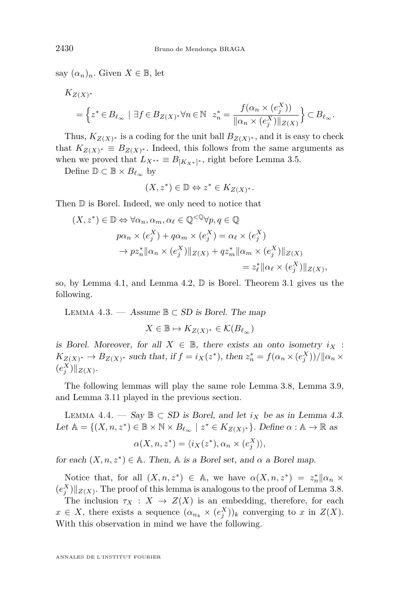<span id="page-18-0"></span>say  $(\alpha_n)_n$ . Given  $X \in \mathbb{B}$ , let

$$
K_{Z(X)^*}
$$
  
=  $\{ z^* \in B_{\ell_{\infty}} \mid \exists f \in B_{Z(X)^*} \forall n \in \mathbb{N} \mid z_n^* = \frac{f(\alpha_n \times (e_j^X))}{\|\alpha_n \times (e_j^X)\|_{Z(X)}} \} \subset B_{\ell_{\infty}}.$ 

Thus,  $K_{Z(X)^*}$  is a coding for the unit ball  $B_{Z(X)^*}$ , and it is easy to check that  $K_{Z(X)^*} \equiv B_{Z(X)^*}$ . Indeed, this follows from the same arguments as when we proved that  $L_{X^{**}} \equiv B_{[K_X^*]^*}$ , right before Lemma [3.5.](#page-10-0)

Define  $\mathbb{D} \subset \mathbb{B} \times B_{\ell_{\infty}}$  by

$$
(X, z^*) \in \mathbb{D} \Leftrightarrow z^* \in K_{Z(X)^*}.
$$

Then D is Borel. Indeed, we only need to notice that

$$
(X, z^*) \in \mathbb{D} \Leftrightarrow \forall \alpha_n, \alpha_m, \alpha_\ell \in \mathbb{Q}^{<\mathbb{Q}} \forall p, q \in \mathbb{Q}
$$
  
\n
$$
p\alpha_n \times (e_j^X) + q\alpha_m \times (e_j^X) = \alpha_\ell \times (e_j^X)
$$
  
\n
$$
\rightarrow pz_n^* || \alpha_n \times (e_j^X) ||_{Z(X)} + qz_m^* || \alpha_m \times (e_j^X) ||_{Z(X)}
$$
  
\n
$$
= z_\ell^* || \alpha_\ell \times (e_j^X) ||_{Z(X)},
$$

so, by Lemma [4.1,](#page-17-0) and Lemma [4.2,](#page-17-0) D is Borel. Theorem [3.1](#page-8-0) gives us the following.

LEMMA 4.3. — Assume  $\mathbb{B} \subset SD$  is Borel. The map

$$
X \in \mathbb{B} \mapsto K_{Z(X)^*} \in \mathcal{K}(B_{\ell_\infty})
$$

is Borel. Moreover, for all  $X \in \mathbb{B}$ , there exists an onto isometry  $i_X$ :  $K_{Z(X)^*} \to B_{Z(X)^*}$  such that, if  $f = i_X(z^*)$ , then  $z_n^* = f(\alpha_n \times (e_j^X))/||\alpha_n \times (e_j^X)||$  $(e_j^X)\|_{Z(X)}$ .

The following lemmas will play the same role Lemma [3.8,](#page-12-0) Lemma [3.9,](#page-13-0) and Lemma [3.11](#page-13-0) played in the previous section.

LEMMA 4.4. — Say **B** ⊂ SD is Borel, and let  $i<sub>X</sub>$  be as in Lemma 4.3. Let  $\mathbb{A} = \{(X, n, z^*) \in \mathbb{B} \times \mathbb{N} \times B_{\ell_{\infty}} \mid z^* \in K_{Z(X)^*}\}\)$ . Define  $\alpha : \mathbb{A} \to \mathbb{R}$  as

$$
\alpha(X, n, z^*) = \langle i_X(z^*), \alpha_n \times (e_j^X) \rangle,
$$

for each  $(X, n, z^*) \in A$ . Then, A is a Borel set, and  $\alpha$  a Borel map.

Notice that, for all  $(X, n, z^*) \in A$ , we have  $\alpha(X, n, z^*) = z_n^* || \alpha_n \times z$  $(e_j^X)\|_{Z(X)}$ . The proof of this lemma is analogous to the proof of Lemma [3.8.](#page-12-0)

The inclusion  $\tau_X : X \to Z(X)$  is an embedding, therefore, for each  $x \in X$ , there exists a sequence  $(\alpha_{n_k} \times (e_j^X))_k$  converging to *x* in  $Z(X)$ . With this observation in mind we have the following.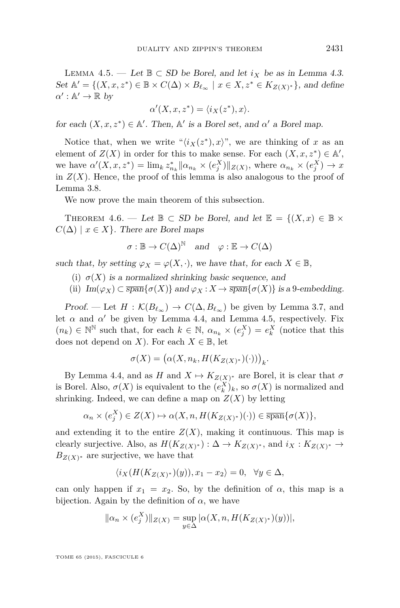<span id="page-19-0"></span>LEMMA 4.5. — Let **B** ⊂ SD be Borel, and let  $i_X$  be as in Lemma [4.3.](#page-18-0) Set  $\mathbb{A}' = \{(X, x, z^*) \in \mathbb{B} \times C(\Delta) \times B_{\ell_{\infty}} \mid x \in X, z^* \in K_{Z(X)^*}\}\)$ , and define  $\alpha': \mathbb{A}' \to \mathbb{R}$  by

$$
\alpha'(X, x, z^*) = \langle i_X(z^*), x \rangle.
$$

for each  $(X, x, z^*) \in A'$ . Then,  $A'$  is a Borel set, and  $\alpha'$  a Borel map.

Notice that, when we write " $\langle i_X(z^*), x \rangle$ ", we are thinking of *x* as an element of  $Z(X)$  in order for this to make sense. For each  $(X, x, z^*) \in A'$ , we have  $\alpha'(X, x, z^*) = \lim_k z_{n_k}^* ||\alpha_{n_k} \times (e_j^X)||_{Z(X)}$ , where  $\alpha_{n_k} \times (e_j^X) \to x$ in  $Z(X)$ . Hence, the proof of this lemma is also analogous to the proof of Lemma [3.8.](#page-12-0)

We now prove the main theorem of this subsection.

THEOREM 4.6. — Let  $\mathbb{B} \subset SD$  be Borel, and let  $\mathbb{E} = \{(X, x) \in \mathbb{B} \times$  $C(\Delta) \mid x \in X$ . There are Borel maps

$$
\sigma : \mathbb{B} \to C(\Delta)^{\mathbb{N}} \quad \text{and} \quad \varphi : \mathbb{E} \to C(\Delta)
$$

such that, by setting  $\varphi_X = \varphi(X, \cdot)$ , we have that, for each  $X \in \mathbb{B}$ ,

- (i)  $\sigma(X)$  is a normalized shrinking basic sequence, and
- (ii)  $Im(\varphi_X) \subset \overline{span} \{ \sigma(X) \}$  and  $\varphi_X : X \to \overline{span} \{ \sigma(X) \}$  is a 9-embedding.

Proof. — Let  $H : \mathcal{K}(B_{\ell_{\infty}}) \to C(\Delta, B_{\ell_{\infty}})$  be given by Lemma [3.7,](#page-11-0) and let  $\alpha$  and  $\alpha'$  be given by Lemma [4.4,](#page-18-0) and Lemma 4.5, respectively. Fix  $(n_k) \in \mathbb{N}^{\mathbb{N}}$  such that, for each  $k \in \mathbb{N}$ ,  $\alpha_{n_k} \times (e_j^X) = e_k^X$  (notice that this does not depend on *X*). For each  $X \in \mathbb{B}$ , let

$$
\sigma(X) = (\alpha(X, n_k, H(K_{Z(X)^*})(\cdot)))_k.
$$

By Lemma [4.4,](#page-18-0) and as  $H$  and  $X \mapsto K_{Z(X)^*}$  are Borel, it is clear that  $\sigma$ is Borel. Also,  $\sigma(X)$  is equivalent to the  $(e_k^X)_k$ , so  $\sigma(X)$  is normalized and shrinking. Indeed, we can define a map on  $Z(X)$  by letting

$$
\alpha_n \times (e_j^X) \in Z(X) \mapsto \alpha(X, n, H(K_{Z(X)^*})(\cdot)) \in \overline{\text{span}}\{\sigma(X)\},\
$$

and extending it to the entire  $Z(X)$ , making it continuous. This map is clearly surjective. Also, as  $H(K_{Z(X)^*}) : \Delta \to K_{Z(X)^*}$ , and  $i_X : K_{Z(X)^*} \to$  $B_{Z(X)}$ <sup>\*</sup> are surjective, we have that

$$
\langle i_X(H(K_{Z(X)^*})(y)), x_1 - x_2 \rangle = 0, \quad \forall y \in \Delta,
$$

can only happen if  $x_1 = x_2$ . So, by the definition of  $\alpha$ , this map is a bijection. Again by the definition of  $\alpha$ , we have

$$
\|\alpha_n \times (e_j^X)\|_{Z(X)} = \sup_{y \in \Delta} |\alpha(X, n, H(K_{Z(X)^*})(y))|,
$$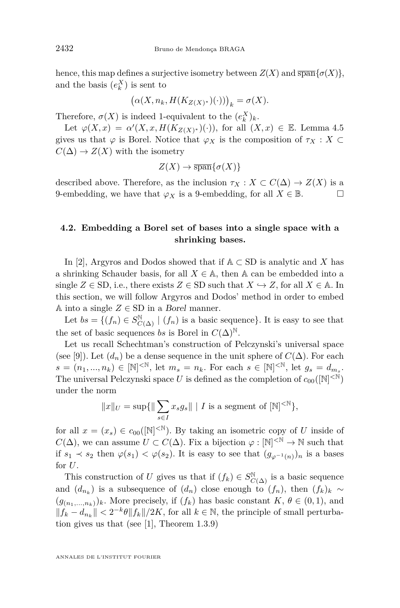hence, this map defines a surjective isometry between  $Z(X)$  and  $\overline{\text{span}}\{\sigma(X)\},$ and the basis  $(e_k^X)$  is sent to

$$
(\alpha(X, n_k, H(K_{Z(X)^*})(\cdot)))_k = \sigma(X).
$$

Therefore,  $\sigma(X)$  is indeed 1-equivalent to the  $(e_k^X)_k$ .

Let  $\varphi(X, x) = \alpha'(X, x, H(K_{Z(X)^*})(\cdot))$ , for all  $(X, x) \in \mathbb{E}$ . Lemma [4.5](#page-19-0) gives us that  $\varphi$  is Borel. Notice that  $\varphi_X$  is the composition of  $\tau_X : X \subset$  $C(\Delta) \rightarrow Z(X)$  with the isometry

$$
Z(X) \to \overline{\operatorname{span}}\{\sigma(X)\}
$$

described above. Therefore, as the inclusion  $\tau_X : X \subset C(\Delta) \to Z(X)$  is a 9-embedding, we have that  $\varphi_X$  is a 9-embedding, for all  $X \in \mathbb{B}$ .

#### **4.2. Embedding a Borel set of bases into a single space with a shrinking bases.**

In [\[2\]](#page-23-0), Argyros and Dodos showed that if  $A \subset SD$  is analytic and *X* has a shrinking Schauder basis, for all  $X \in \mathbb{A}$ , then  $\mathbb{A}$  can be embedded into a single  $Z \in SD$ , i.e., there exists  $Z \in SD$  such that  $X \hookrightarrow Z$ , for all  $X \in A$ . In this section, we will follow Argyros and Dodos' method in order to embed A into a single  $Z \in SD$  in a *Borel* manner.

Let  $bs = \{(f_n) \in S_{C(\Delta)}^{\mathbb{N}} \mid (f_n) \text{ is a basic sequence}\}\.$  It is easy to see that the set of basic sequences *bs* is Borel in  $C(\Delta)^{\mathbb{N}}$ .

Let us recall Schechtman's construction of Pelczynski's universal space (see [\[9\]](#page-23-0)). Let  $(d_n)$  be a dense sequence in the unit sphere of  $C(\Delta)$ . For each  $s = (n_1, ..., n_k) \in [\mathbb{N}]^{< \mathbb{N}}$ , let  $m_s = n_k$ . For each  $s \in [\mathbb{N}]^{< \mathbb{N}}$ , let  $g_s = d_{m_s}$ . The universal Pelczynski space U is defined as the completion of  $c_{00}([\mathbb{N}]^{<\mathbb{N}})$ under the norm

$$
||x||_U = \sup{||\sum_{s \in I} x_s g_s|| |I \text{ is a segment of } [N]^{< N} },
$$

for all  $x = (x_s) \in c_{00}([\mathbb{N}]^{< \mathbb{N}})$ . By taking an isometric copy of *U* inside of *C*( $\Delta$ ), we can assume *U* ⊂ *C*( $\Delta$ ). Fix a bijection  $\varphi : [\mathbb{N}]^{< \mathbb{N}} \to \mathbb{N}$  such that if  $s_1 \prec s_2$  then  $\varphi(s_1) \prec \varphi(s_2)$ . It is easy to see that  $(g_{\varphi^{-1}(n)})_n$  is a bases for *U*.

This construction of *U* gives us that if  $(f_k) \in S^{\mathbb{N}}_{C(\Delta)}$  is a basic sequence and  $(d_{n_k})$  is a subsequence of  $(d_n)$  close enough to  $(f_n)$ , then  $(f_k)_k \sim$  $(g_{(n_1,...,n_k)})_k$ . More precisely, if  $(f_k)$  has basic constant  $K, \theta \in (0,1)$ , and  $|| f_k - d_{n_k} ||$  <  $2^{-k} \theta || f_k || / 2K$ , for all  $k \in \mathbb{N}$ , the principle of small perturbation gives us that (see [\[1\]](#page-23-0), Theorem 1.3.9)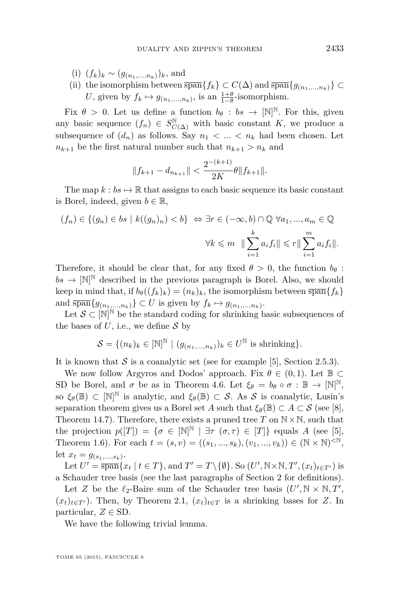- (i)  $(f_k)_k \sim (g_{(n_1,...,n_k)})_k$ , and
- (ii) the isomorphism between  $\overline{\text{span}}\{f_k\} \subset C(\Delta)$  and  $\overline{\text{span}}\{g_{(n_1,\ldots,n_k)}\}$ *U*, given by  $f_k \mapsto g_{(n_1,...,n_k)}$ , is an  $\frac{1+\theta}{1-\theta}$ -isomorphism.

Fix  $\theta > 0$ . Let us define a function  $b_{\theta} : b_s \to [\mathbb{N}]^{\mathbb{N}}$ . For this, given any basic sequence  $(f_n) \in S^{\mathbb{N}}_{C(\Delta)}$  with basic constant *K*, we produce a subsequence of  $(d_n)$  as follows. Say  $n_1 < \ldots < n_k$  had been chosen. Let  $n_{k+1}$  be the first natural number such that  $n_{k+1} > n_k$  and

$$
||f_{k+1} - d_{n_{k+1}}|| < \frac{2^{-(k+1)}}{2K} \theta ||f_{k+1}||.
$$

The map  $k : b \mapsto \mathbb{R}$  that assigns to each basic sequence its basic constant is Borel, indeed, given  $b \in \mathbb{R}$ ,

$$
(f_n) \in \{(g_n) \in bs \mid k((g_n)_n) < b\} \iff \exists r \in (-\infty, b) \cap \mathbb{Q} \; \forall a_1, \dots, a_m \in \mathbb{Q}
$$
\n
$$
\forall k \leq m \quad \|\sum_{i=1}^k a_i f_i\| \leq r \|\sum_{i=1}^m a_i f_i\|.
$$

Therefore, it should be clear that, for any fixed  $\theta > 0$ , the function  $b_{\theta}$ :  $bs \to [\mathbb{N}]^{\mathbb{N}}$  described in the previous paragraph is Borel. Also, we should keep in mind that, if  $b_{\theta}((f_k)_k) = (n_k)_k$ , the isomorphism between  $\overline{\text{span}}\{f_k\}$ and  $\overline{\text{span}}\{g_{(n_1,...,n_k)}\}\subset U$  is given by  $f_k\mapsto g_{(n_1,...,n_k)}$ .

Let  $\mathcal{S} \subset [\mathbb{N}]^{\mathbb{N}}$  be the standard coding for shrinking basic subsequences of the bases of  $U$ , i.e., we define  $S$  by

$$
\mathcal{S} = \{ (n_k)_k \in [\mathbb{N}]^{\mathbb{N}} \mid (g_{(n_1,\ldots,n_k)})_k \in U^{\mathbb{N}} \text{ is shrinking} \}.
$$

It is known that  $S$  is a coanalytic set (see for example [\[5\]](#page-23-0), Section 2.5*.*3).

We now follow Argyros and Dodos' approach. Fix  $\theta \in (0,1)$ . Let  $\mathbb{B} \subset$ SD be Borel, and  $\sigma$  be as in Theorem [4.6.](#page-19-0) Let  $\xi_{\theta} = b_{\theta} \circ \sigma : \mathbb{B} \to [\mathbb{N}]^{\mathbb{N}},$ so  $\xi_{\theta}(\mathbb{B}) \subset [\mathbb{N}]^{\mathbb{N}}$  is analytic, and  $\xi_{\theta}(\mathbb{B}) \subset \mathcal{S}$ . As  $\mathcal{S}$  is coanalytic, Lusin's separation theorem gives us a Borel set *A* such that  $\xi_{\theta}(\mathbb{B}) \subset A \subset S$  (see [\[8\]](#page-23-0), Theorem 14.7). Therefore, there exists a pruned tree  $T$  on  $N \times N$ , such that the projection  $p([T]) = \{\sigma \in [\mathbb{N}]^{\mathbb{N}} \mid \exists \tau \ (\sigma, \tau) \in [T] \}$  equals *A* (see [\[5\]](#page-23-0), Theorem 1.6). For each  $t = (s, v) = ((s_1, ..., s_k), (v_1, ..., v_k)) \in (\mathbb{N} \times \mathbb{N})^{\leq \mathbb{N}},$ let  $x_t = g_{(s_1,...,s_k)}$ .

Let  $U' = \overline{\text{span}}\{x_t | t \in T\}$ , and  $T' = T \setminus \{\emptyset\}$ . So  $(U', \mathbb{N} \times \mathbb{N}, T', (x_t)_{t \in T'})$  is a Schauder tree basis (see the last paragraphs of Section 2 for definitions).

Let *Z* be the  $\ell_2$ -Baire sum of the Schauder tree basis  $(U', \mathbb{N} \times \mathbb{N}, T',$  $(x_t)_{t \in T}$ . Then, by Theorem [2.1,](#page-7-0)  $(x_t)_{t \in T}$  is a shrinking bases for *Z*. In particular,  $Z \in SD$ .

We have the following trivial lemma.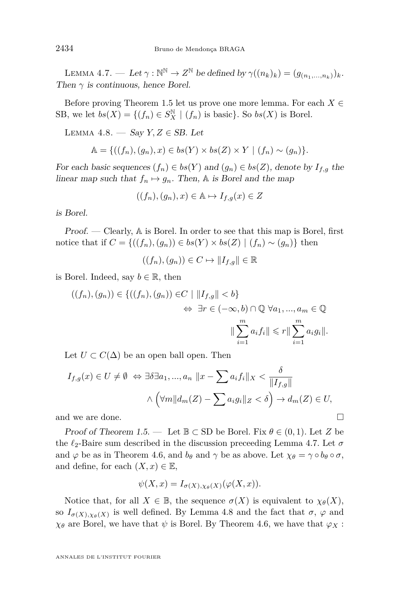LEMMA 4.7. — Let  $\gamma : \mathbb{N}^{\mathbb{N}} \to Z^{\mathbb{N}}$  be defined by  $\gamma((n_k)_k) = (g_{(n_1,...,n_k)})_k$ . Then  $\gamma$  is continuous, hence Borel.

Before proving Theorem [1.5](#page-4-0) let us prove one more lemma. For each  $X \in$ SB, we let  $bs(X) = \{(f_n) \in S_X^{\mathbb{N}} \mid (f_n) \text{ is basic}\}\.$  So  $bs(X)$  is Borel.

LEMMA 4.8. — Say  $Y, Z \in SB$ . Let

$$
\mathbb{A} = \{((f_n),(g_n),x) \in bs(Y) \times bs(Z) \times Y \mid (f_n) \sim (g_n)\}.
$$

For each basic sequences  $(f_n) \in bs(Y)$  and  $(g_n) \in bs(Z)$ , denote by  $I_{f,g}$  the linear map such that  $f_n \mapsto g_n$ . Then, A is Borel and the map

$$
((f_n),(g_n),x)\in \mathbb{A}\mapsto I_{f,g}(x)\in Z
$$

is Borel.

Proof. — Clearly, A is Borel. In order to see that this map is Borel, first notice that if  $C = \{((f_n), (g_n)) \in bs(Y) \times bs(Z) \mid (f_n) \sim (g_n)\}\$ then

$$
((f_n),(g_n))\in C\mapsto \|I_{f,g}\|\in\mathbb{R}
$$

is Borel. Indeed, say  $b \in \mathbb{R}$ , then

$$
((f_n),(g_n)) \in \{((f_n),(g_n))\in C \mid ||I_{f,g}|| < b\}
$$
  

$$
\Leftrightarrow \exists r \in (-\infty, b) \cap \mathbb{Q} \,\forall a_1, ..., a_m \in \mathbb{Q}
$$
  

$$
||\sum_{i=1}^m a_i f_i|| \leqslant r ||\sum_{i=1}^m a_i g_i||.
$$

Let  $U \subset C(\Delta)$  be an open ball open. Then

$$
I_{f,g}(x) \in U \neq \emptyset \Leftrightarrow \exists \delta \exists a_1, ..., a_n \ \|x - \sum a_i f_i\|_X < \frac{\delta}{\|I_{f,g}\|}
$$
\n
$$
\wedge \left(\forall m \|d_m(Z) - \sum a_i g_i\|_Z < \delta\right) \to d_m(Z) \in U,
$$
\nand we are done.

Proof of Theorem [1.5.](#page-4-0) — Let  $\mathbb{B} \subset$  SD be Borel. Fix  $\theta \in (0,1)$ . Let Z be the  $\ell_2$ -Baire sum described in the discussion preceeding Lemma 4.7. Let  $\sigma$ and  $\varphi$  be as in Theorem [4.6,](#page-19-0) and  $b_{\theta}$  and  $\gamma$  be as above. Let  $\chi_{\theta} = \gamma \circ b_{\theta} \circ \sigma$ , and define, for each  $(X, x) \in \mathbb{E}$ ,

$$
\psi(X, x) = I_{\sigma(X), \chi_{\theta}(X)}(\varphi(X, x)).
$$

Notice that, for all  $X \in \mathbb{B}$ , the sequence  $\sigma(X)$  is equivalent to  $\chi_{\theta}(X)$ , so  $I_{\sigma(X),\chi_{\theta}(X)}$  is well defined. By Lemma 4.8 and the fact that  $\sigma$ ,  $\varphi$  and  $\chi_{\theta}$  are Borel, we have that  $\psi$  is Borel. By Theorem [4.6,](#page-19-0) we have that  $\varphi_X$ :